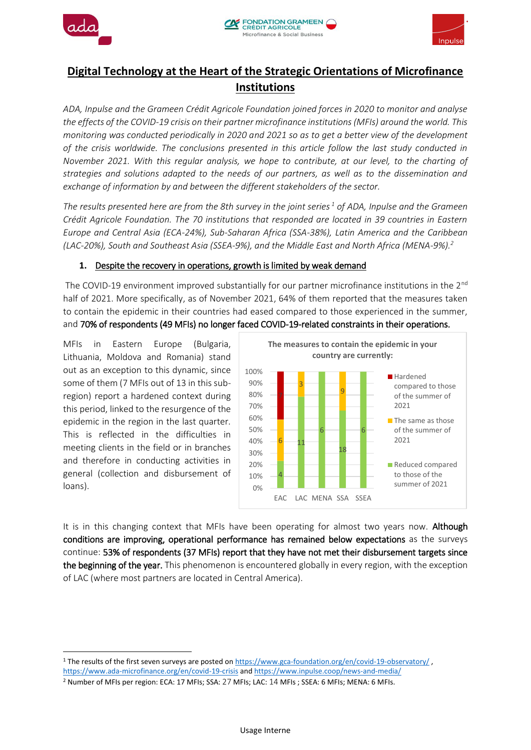





# **Digital Technology at the Heart of the Strategic Orientations of Microfinance Institutions**

*ADA, Inpulse and the Grameen Crédit Agricole Foundation joined forces in 2020 to monitor and analyse the effects of the COVID-19 crisis on their partner microfinance institutions (MFIs) around the world. This monitoring was conducted periodically in 2020 and 2021 so as to get a better view of the development of the crisis worldwide. The conclusions presented in this article follow the last study conducted in November 2021. With this regular analysis, we hope to contribute, at our level, to the charting of strategies and solutions adapted to the needs of our partners, as well as to the dissemination and exchange of information by and between the different stakeholders of the sector.*

*The results presented here are from the 8th survey in the joint series <sup>1</sup> of ADA, Inpulse and the Grameen Crédit Agricole Foundation. The 70 institutions that responded are located in 39 countries in Eastern Europe and Central Asia (ECA-24%), Sub-Saharan Africa (SSA-38%), Latin America and the Caribbean (LAC-20%), South and Southeast Asia (SSEA-9%), and the Middle East and North Africa (MENA-9%).<sup>2</sup>*

#### **1.** Despite the recovery in operations, growth is limited by weak demand

The COVID-19 environment improved substantially for our partner microfinance institutions in the  $2^{nd}$ half of 2021. More specifically, as of November 2021, 64% of them reported that the measures taken to contain the epidemic in their countries had eased compared to those experienced in the summer, and 70% of respondents (49 MFIs) no longer faced COVID-19-related constraints in their operations.

MFIs in Eastern Europe (Bulgaria, Lithuania, Moldova and Romania) stand out as an exception to this dynamic, since some of them (7 MFIs out of 13 in this subregion) report a hardened context during this period, linked to the resurgence of the epidemic in the region in the last quarter. This is reflected in the difficulties in meeting clients in the field or in branches and therefore in conducting activities in general (collection and disbursement of loans).



It is in this changing context that MFIs have been operating for almost two years now. Although conditions are improving, operational performance has remained below expectations as the surveys continue: 53% of respondents (37 MFIs) report that they have not met their disbursement targets since the beginning of the year. This phenomenon is encountered globally in every region, with the exception of LAC (where most partners are located in Central America).

**<sup>.</sup>** 1 The results of the first seven surveys are posted on<https://www.gca-foundation.org/en/covid-19-observatory/>,

<https://www.ada-microfinance.org/en/covid-19-crisis> and <https://www.inpulse.coop/news-and-media/>

<sup>2</sup> Number of MFIs per region: ECA: 17 MFIs; SSA: 27 MFIs; LAC: 14 MFIs ; SSEA: 6 MFIs; MENA: 6 MFIs.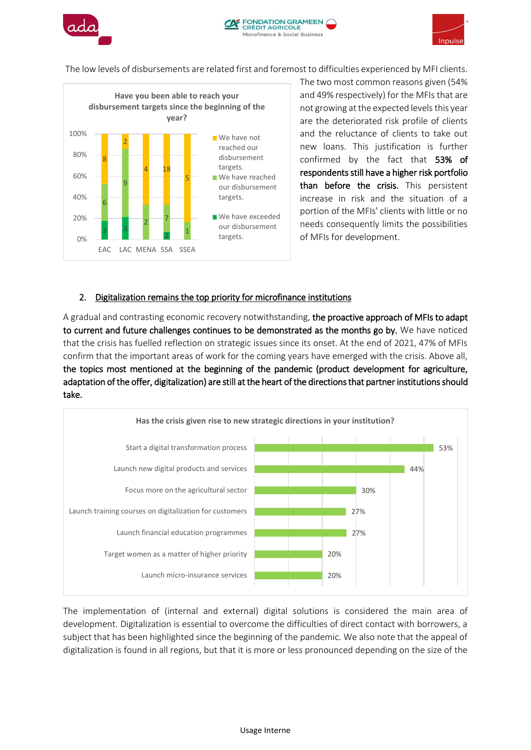



The low levels of disbursements are related first and foremost to difficulties experienced by MFI clients.



The two most common reasons given (54% and 49% respectively) for the MFIs that are not growing at the expected levels this year are the deteriorated risk profile of clients and the reluctance of clients to take out new loans. This justification is further confirmed by the fact that 53% of respondents still have a higher risk portfolio than before the crisis. This persistent increase in risk and the situation of a portion of the MFIs' clients with little or no needs consequently limits the possibilities of MFIs for development.

#### 2. Digitalization remains the top priority for microfinance institutions

A gradual and contrasting economic recovery notwithstanding, the proactive approach of MFIs to adapt to current and future challenges continues to be demonstrated as the months go by. We have noticed that the crisis has fuelled reflection on strategic issues since its onset. At the end of 2021, 47% of MFIs confirm that the important areas of work for the coming years have emerged with the crisis. Above all, the topics most mentioned at the beginning of the pandemic (product development for agriculture, adaptation of the offer, digitalization) are still at the heart of the directions that partner institutions should take.



The implementation of (internal and external) digital solutions is considered the main area of development. Digitalization is essential to overcome the difficulties of direct contact with borrowers, a subject that has been highlighted since the beginning of the pandemic. We also note that the appeal of digitalization is found in all regions, but that it is more or less pronounced depending on the size of the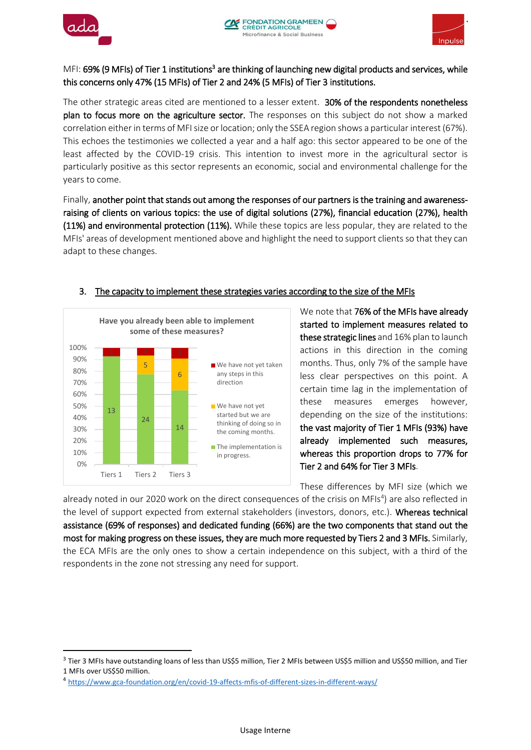

1



### MFI: 69% (9 MFIs) of Tier 1 institutions<sup>3</sup> are thinking of launching new digital products and services, while this concerns only 47% (15 MFIs) of Tier 2 and 24% (5 MFIs) of Tier 3 institutions.

The other strategic areas cited are mentioned to a lesser extent. 30% of the respondents nonetheless plan to focus more on the agriculture sector. The responses on this subject do not show a marked correlation either in terms of MFI size or location; only the SSEA region shows a particular interest (67%). This echoes the testimonies we collected a year and a half ago: this sector appeared to be one of the least affected by the COVID-19 crisis. This intention to invest more in the agricultural sector is particularly positive as this sector represents an economic, social and environmental challenge for the years to come.

Finally, another point that stands out among the responses of our partners is the training and awarenessraising of clients on various topics: the use of digital solutions (27%), financial education (27%), health (11%) and environmental protection (11%). While these topics are less popular, they are related to the MFIs' areas of development mentioned above and highlight the need to support clients so that they can adapt to these changes.



## 3. The capacity to implement these strategies varies according to the size of the MFIs

We note that **76% of the MFIs have already** started to implement measures related to these strategic lines and 16% plan to launch actions in this direction in the coming months. Thus, only 7% of the sample have less clear perspectives on this point. A certain time lag in the implementation of these measures emerges however, depending on the size of the institutions: the vast majority of Tier 1 MFIs (93%) have already implemented such measures, whereas this proportion drops to 77% for Tier 2 and 64% for Tier 3 MFIs.

These differences by MFI size (which we

already noted in our 2020 work on the direct consequences of the crisis on MFIs<sup>4</sup>) are also reflected in the level of support expected from external stakeholders (investors, donors, etc.). Whereas technical assistance (69% of responses) and dedicated funding (66%) are the two components that stand out the most for making progress on these issues, they are much more requested by Tiers 2 and 3 MFIs. Similarly, the ECA MFIs are the only ones to show a certain independence on this subject, with a third of the respondents in the zone not stressing any need for support.

<sup>&</sup>lt;sup>3</sup> Tier 3 MFIs have outstanding loans of less than US\$5 million, Tier 2 MFIs between US\$5 million and US\$50 million, and Tier 1 MFIs over US\$50 million.

<sup>4</sup> <https://www.gca-foundation.org/en/covid-19-affects-mfis-of-different-sizes-in-different-ways/>